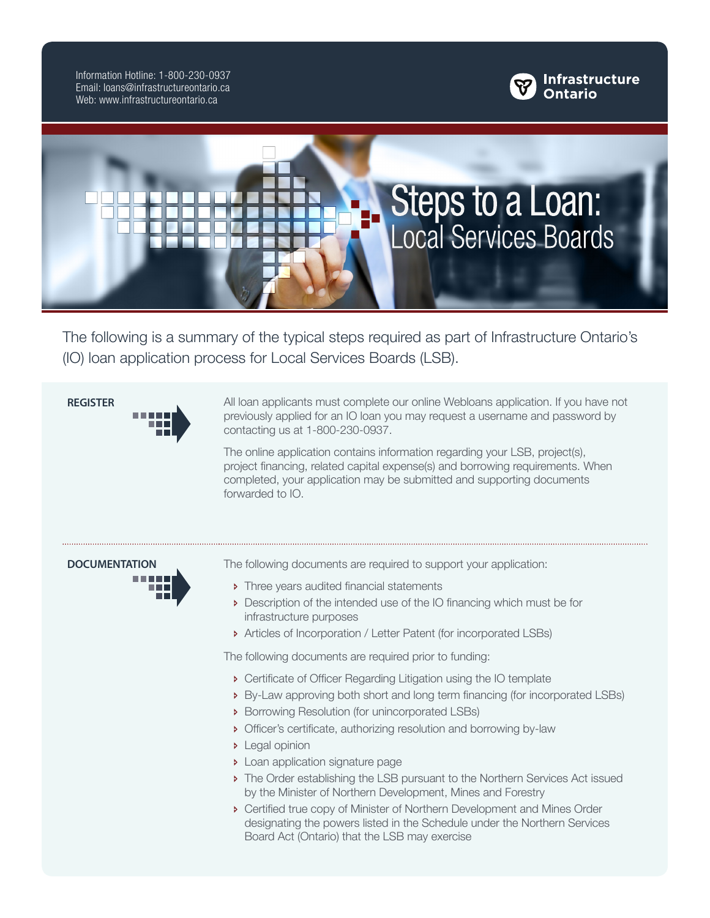Information Hotline: 1-800-230-0937 Email: loans@infrastructureontario.ca Web: www.infrastructureontario.ca





The following is a summary of the typical steps required as part of Infrastructure Ontario's (IO) loan application process for Local Services Boards (LSB).

**REGISTER** All loan applicants must complete our online Webloans application. If you have not

contacting us at 1-800-230-0937.

forwarded to IO.



- **Three years audited financial statements**
- Description of the intended use of the IO financing which must be for infrastructure purposes

previously applied for an IO loan you may request a username and password by

The online application contains information regarding your LSB, project(s), project financing, related capital expense(s) and borrowing requirements. When completed, your application may be submitted and supporting documents

Ð Articles of Incorporation / Letter Patent (for incorporated LSBs)

The following documents are required prior to funding:

- Ð Certificate of Officer Regarding Litigation using the IO template
- Ð By-Law approving both short and long term financing (for incorporated LSBs)
- Ð Borrowing Resolution (for unincorporated LSBs)
- **•** Officer's certificate, authorizing resolution and borrowing by-law
- **D** Legal opinion
- **Dean application signature page**
- Ð The Order establishing the LSB pursuant to the Northern Services Act issued by the Minister of Northern Development, Mines and Forestry
- Ð Certified true copy of Minister of Northern Development and Mines Order designating the powers listed in the Schedule under the Northern Services Board Act (Ontario) that the LSB may exercise